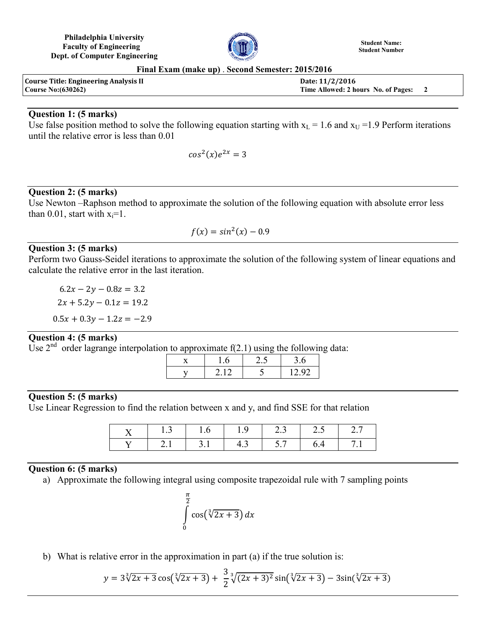**Philadelphia University Faculty of Engineering Dept. of Computer Engineering**



**Student Name: Student Number**

**Final Exam (make up)** . **Second Semester: 2015/2016**

| <b>Course Title: Engineering Analysis II</b> | Date: 11/2/2016                       |  |
|----------------------------------------------|---------------------------------------|--|
| <b>Course No: (630262)</b>                   | Time Allowed: 2 hours No. of Pages: 2 |  |

### **Question 1: (5 marks)**

Use false position method to solve the following equation starting with  $x_L = 1.6$  and  $x_U = 1.9$  Perform iterations until the relative error is less than 0.01

$$
\cos^2(x)e^{2x} = 3
$$

## **Question 2: (5 marks)**

Use Newton –Raphson method to approximate the solution of the following equation with absolute error less than 0.01, start with  $x_i=1$ .

$$
f(x) = \sin^2(x) - 0.9
$$

## **Question 3: (5 marks)**

Perform two Gauss-Seidel iterations to approximate the solution of the following system of linear equations and calculate the relative error in the last iteration.

 $2x + 5.2y - 0.1z = 19.2$  $0.5x + 0.3y - 1.2z = -2.9$  $6.2x - 2y - 0.8z = 3.2$ 

# **Question 4: (5 marks)**

Use  $2<sup>nd</sup>$  order lagrange interpolation to approximate  $f(2.1)$  using the following data:

|  | $\overline{\phantom{a}}$ |                 |
|--|--------------------------|-----------------|
|  |                          | $\Omega$<br>ר ו |

#### **Question 5: (5 marks)**

Use Linear Regression to find the relation between x and y, and find SSE for that relation

| 1.3 |       | 1.9 | $-12.3$   | 25 |  |
|-----|-------|-----|-----------|----|--|
|     | $-31$ |     | 4.3   5.7 |    |  |

# **Question 6: (5 marks)**

a) Approximate the following integral using composite trapezoidal rule with 7 sampling points

$$
\int_{0}^{\frac{\pi}{2}} \cos(\sqrt[3]{2x+3}) dx
$$

b) What is relative error in the approximation in part (a) if the true solution is:

$$
y = 3\sqrt[3]{2x+3}\cos(\sqrt[3]{2x+3}) + \frac{3}{2}\sqrt[3]{(2x+3)^2}\sin(\sqrt[3]{2x+3}) - 3\sin(\sqrt[3]{2x+3})
$$